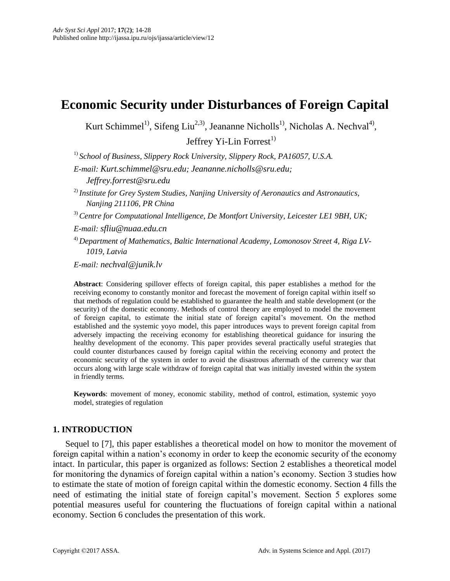# **Economic Security under Disturbances of Foreign Capital**

Kurt Schimmel<sup>1)</sup>, Sifeng Liu<sup>2,3)</sup>, Jeananne Nicholls<sup>1)</sup>, Nicholas A. Nechval<sup>4)</sup>,

Jeffrey Yi-Lin Forrest<sup>1)</sup>

1) *School of Business, Slippery Rock University, Slippery Rock, PA16057, U.S.A.*

*E-mail: Kurt.schimmel@sru.edu; Jeananne.nicholls@sru.edu;*

*Jeffrey.forrest@sru.edu*

2) *Institute for Grey System Studies, Nanjing University of Aeronautics and Astronautics, Nanjing 211106, PR China*

3)*Centre for Computational Intelligence, De Montfort University, Leicester LE1 9BH, UK;* 

*E-mail: sfliu@nuaa.edu.cn*

4) *Department of Mathematics, Baltic International Academy, Lomonosov Street 4, Riga LV-1019, Latvia* 

*E-mail: nechval@junik.lv*

**Abstract**: Considering spillover effects of foreign capital, this paper establishes a method for the receiving economy to constantly monitor and forecast the movement of foreign capital within itself so that methods of regulation could be established to guarantee the health and stable development (or the security) of the domestic economy. Methods of control theory are employed to model the movement of foreign capital, to estimate the initial state of foreign capital's movement. On the method established and the systemic yoyo model, this paper introduces ways to prevent foreign capital from adversely impacting the receiving economy for establishing theoretical guidance for insuring the healthy development of the economy. This paper provides several practically useful strategies that could counter disturbances caused by foreign capital within the receiving economy and protect the economic security of the system in order to avoid the disastrous aftermath of the currency war that occurs along with large scale withdraw of foreign capital that was initially invested within the system in friendly terms.

**Keywords**: movement of money, economic stability, method of control, estimation, systemic yoyo model, strategies of regulation

## **1. INTRODUCTION**

Sequel to [7], this paper establishes a theoretical model on how to monitor the movement of foreign capital within a nation's economy in order to keep the economic security of the economy intact. In particular, this paper is organized as follows: Section 2 establishes a theoretical model for monitoring the dynamics of foreign capital within a nation's economy. Section 3 studies how to estimate the state of motion of foreign capital within the domestic economy. Section 4 fills the need of estimating the initial state of foreign capital's movement. Section 5 explores some potential measures useful for countering the fluctuations of foreign capital within a national economy. Section 6 concludes the presentation of this work.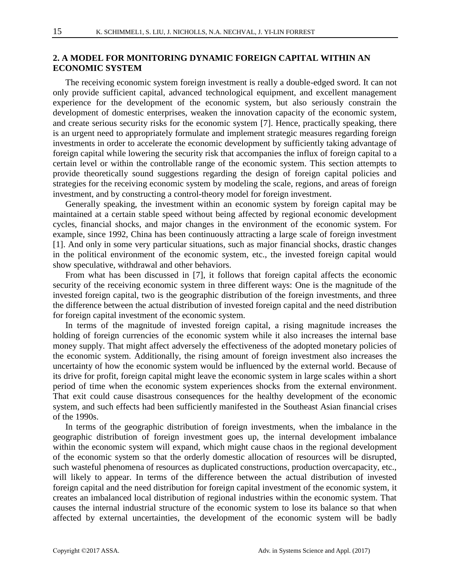### **2. A MODEL FOR MONITORING DYNAMIC FOREIGN CAPITAL WITHIN AN ECONOMIC SYSTEM**

The receiving economic system foreign investment is really a double-edged sword. It can not only provide sufficient capital, advanced technological equipment, and excellent management experience for the development of the economic system, but also seriously constrain the development of domestic enterprises, weaken the innovation capacity of the economic system, and create serious security risks for the economic system [7]. Hence, practically speaking, there is an urgent need to appropriately formulate and implement strategic measures regarding foreign investments in order to accelerate the economic development by sufficiently taking advantage of foreign capital while lowering the security risk that accompanies the influx of foreign capital to a certain level or within the controllable range of the economic system. This section attempts to provide theoretically sound suggestions regarding the design of foreign capital policies and strategies for the receiving economic system by modeling the scale, regions, and areas of foreign investment, and by constructing a control-theory model for foreign investment.

Generally speaking, the investment within an economic system by foreign capital may be maintained at a certain stable speed without being affected by regional economic development cycles, financial shocks, and major changes in the environment of the economic system. For example, since 1992, China has been continuously attracting a large scale of foreign investment [1]. And only in some very particular situations, such as major financial shocks, drastic changes in the political environment of the economic system, etc., the invested foreign capital would show speculative, withdrawal and other behaviors.

From what has been discussed in [7], it follows that foreign capital affects the economic security of the receiving economic system in three different ways: One is the magnitude of the invested foreign capital, two is the geographic distribution of the foreign investments, and three the difference between the actual distribution of invested foreign capital and the need distribution for foreign capital investment of the economic system.

In terms of the magnitude of invested foreign capital, a rising magnitude increases the holding of foreign currencies of the economic system while it also increases the internal base money supply. That might affect adversely the effectiveness of the adopted monetary policies of the economic system. Additionally, the rising amount of foreign investment also increases the uncertainty of how the economic system would be influenced by the external world. Because of its drive for profit, foreign capital might leave the economic system in large scales within a short period of time when the economic system experiences shocks from the external environment. That exit could cause disastrous consequences for the healthy development of the economic system, and such effects had been sufficiently manifested in the Southeast Asian financial crises of the 1990s.

In terms of the geographic distribution of foreign investments, when the imbalance in the geographic distribution of foreign investment goes up, the internal development imbalance within the economic system will expand, which might cause chaos in the regional development of the economic system so that the orderly domestic allocation of resources will be disrupted, such wasteful phenomena of resources as duplicated constructions, production overcapacity, etc., will likely to appear. In terms of the difference between the actual distribution of invested foreign capital and the need distribution for foreign capital investment of the economic system, it creates an imbalanced local distribution of regional industries within the economic system. That causes the internal industrial structure of the economic system to lose its balance so that when affected by external uncertainties, the development of the economic system will be badly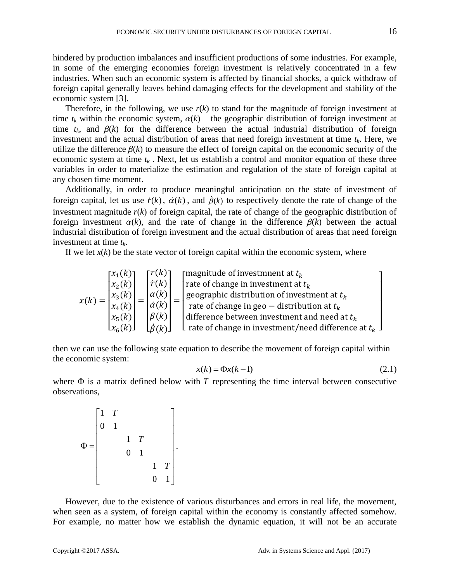hindered by production imbalances and insufficient productions of some industries. For example, in some of the emerging economies foreign investment is relatively concentrated in a few industries. When such an economic system is affected by financial shocks, a quick withdraw of foreign capital generally leaves behind damaging effects for the development and stability of the economic system [3].

Therefore, in the following, we use  $r(k)$  to stand for the magnitude of foreign investment at time  $t_k$  within the economic system,  $\alpha(k)$  – the geographic distribution of foreign investment at time  $t_k$ , and  $\beta(k)$  for the difference between the actual industrial distribution of foreign investment and the actual distribution of areas that need foreign investment at time *tk*. Here, we utilize the difference  $\beta(k)$  to measure the effect of foreign capital on the economic security of the economic system at time  $t_k$ . Next, let us establish a control and monitor equation of these three variables in order to materialize the estimation and regulation of the state of foreign capital at any chosen time moment.

Additionally, in order to produce meaningful anticipation on the state of investment of foreign capital, let us use  $\dot{r}(k)$ ,  $\dot{\alpha}(k)$ , and  $\dot{\beta}(k)$  to respectively denote the rate of change of the investment magnitude *r*(*k*) of foreign capital, the rate of change of the geographic distribution of foreign investment  $\alpha(k)$ , and the rate of change in the difference  $\beta(k)$  between the actual industrial distribution of foreign investment and the actual distribution of areas that need foreign investment at time *tk*.

If we let  $x(k)$  be the state vector of foreign capital within the economic system, where

$$
x(k) = \begin{bmatrix} x_1(k) \\ x_2(k) \\ x_3(k) \\ x_4(k) \\ x_5(k) \\ x_6(k) \end{bmatrix} = \begin{bmatrix} r(k) \\ \dot{r}(k) \\ \dot{\alpha}(k) \\ \dot{\alpha}(k) \\ \dot{\beta}(k) \\ \dot{\beta}(k) \end{bmatrix} = \begin{bmatrix} \text{magnitude of investment at } t_k \\ \text{rate of change in investment at } t_k \\ \text{geographic distribution of investment at } t_k \\ \text{rate of change in geo}-\text{distribution at } t_k \\ \text{difference between investment and need at } t_k \\ \text{rate of change in investment/need difference at } t_k \end{bmatrix}
$$

then we can use the following state equation to describe the movement of foreign capital within the economic system:

$$
x(k) = \Phi x(k-1) \tag{2.1}
$$

where  $\Phi$  is a matrix defined below with  $T$  representing the time interval between consecutive observations,

$$
\Phi = \begin{bmatrix} 1 & T & & & \\ 0 & 1 & & & \\ & & 1 & T & & \\ & & 0 & 1 & & \\ & & & & 1 & T \\ & & & & & 0 & 1 \end{bmatrix}.
$$

.

However, due to the existence of various disturbances and errors in real life, the movement, when seen as a system, of foreign capital within the economy is constantly affected somehow. For example, no matter how we establish the dynamic equation, it will not be an accurate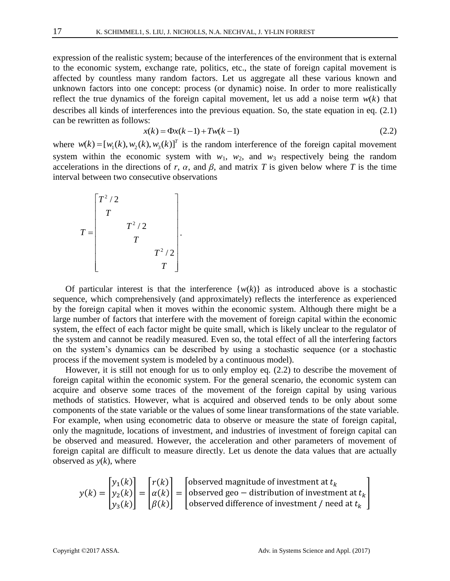expression of the realistic system; because of the interferences of the environment that is external to the economic system, exchange rate, politics, etc., the state of foreign capital movement is affected by countless many random factors. Let us aggregate all these various known and unknown factors into one concept: process (or dynamic) noise. In order to more realistically reflect the true dynamics of the foreign capital movement, let us add a noise term  $w(k)$  that describes all kinds of interferences into the previous equation. So, the state equation in eq. (2.1) can be rewritten as follows:

s:  
\n
$$
x(k) = \Phi x(k-1) + Tw(k-1)
$$
\n(2.2)

where  $w(k) = [w_1(k), w_2(k), w_3(k)]^T$  is the random interference of the foreign capital movement system within the economic system with  $w_1$ ,  $w_2$ , and  $w_3$  respectively being the random accelerations in the directions of  $r$ ,  $\alpha$ , and  $\beta$ , and matrix  $T$  is given below where  $T$  is the time interval between two consecutive observations

$$
T = \begin{bmatrix} T^2/2 & & & \\ T & & & \\ & T^2/2 & & \\ & & T & \\ & & & T^2/2 \\ & & & & T \end{bmatrix}.
$$

Of particular interest is that the interference  $\{w(k)\}\$ as introduced above is a stochastic sequence, which comprehensively (and approximately) reflects the interference as experienced by the foreign capital when it moves within the economic system. Although there might be a large number of factors that interfere with the movement of foreign capital within the economic system, the effect of each factor might be quite small, which is likely unclear to the regulator of the system and cannot be readily measured. Even so, the total effect of all the interfering factors on the system's dynamics can be described by using a stochastic sequence (or a stochastic process if the movement system is modeled by a continuous model).

However, it is still not enough for us to only employ eq. (2.2) to describe the movement of foreign capital within the economic system. For the general scenario, the economic system can acquire and observe some traces of the movement of the foreign capital by using various methods of statistics. However, what is acquired and observed tends to be only about some components of the state variable or the values of some linear transformations of the state variable. For example, when using econometric data to observe or measure the state of foreign capital, only the magnitude, locations of investment, and industries of investment of foreign capital can be observed and measured. However, the acceleration and other parameters of movement of foreign capital are difficult to measure directly. Let us denote the data values that are actually observed as *y*(*k*), where

$$
y(k) = \begin{bmatrix} y_1(k) \\ y_2(k) \\ y_3(k) \end{bmatrix} = \begin{bmatrix} r(k) \\ \alpha(k) \\ \beta(k) \end{bmatrix} = \begin{bmatrix} \text{observed magnitude of investment at } t_k \\ \text{observed geo-distribution of investment at } t_k \\ \text{observed difference of investment } t \end{bmatrix}
$$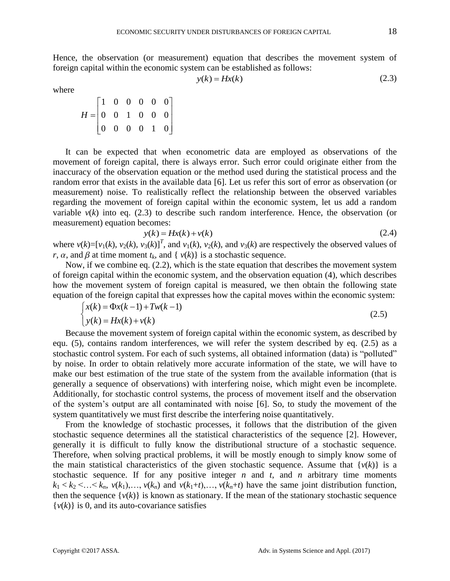Hence, the observation (or measurement) equation that describes the movement system of foreign capital within the economic system can be established as follows:

$$
y(k) = Hx(k) \tag{2.3}
$$

where

$$
H = \begin{bmatrix} 1 & 0 & 0 & 0 & 0 & 0 \\ 0 & 0 & 1 & 0 & 0 & 0 \\ 0 & 0 & 0 & 0 & 1 & 0 \end{bmatrix}
$$

It can be expected that when econometric data are employed as observations of the movement of foreign capital, there is always error. Such error could originate either from the inaccuracy of the observation equation or the method used during the statistical process and the random error that exists in the available data [6]. Let us refer this sort of error as observation (or measurement) noise. To realistically reflect the relationship between the observed variables regarding the movement of foreign capital within the economic system, let us add a random variable  $v(k)$  into eq. (2.3) to describe such random interference. Hence, the observation (or measurement) equation becomes:

$$
y(k) = Hx(k) + v(k)
$$
\n<sup>(2.4)</sup>

where  $v(k) = [v_1(k), v_2(k), v_3(k)]^T$ , and  $v_1(k), v_2(k)$ , and  $v_3(k)$  are respectively the observed values of *r*,  $\alpha$ , and  $\beta$  at time moment  $t_k$ , and  $\{v(k)\}\$ is a stochastic sequence.

Now, if we combine eq. (2.2), which is the state equation that describes the movement system of foreign capital within the economic system, and the observation equation (4), which describes how the movement system of foreign capital is measured, we then obtain the following state

equation of the foreign capital that expresses how the capital moves within the economic system:  
\n
$$
\begin{cases}\nx(k) = \Phi x(k-1) + Tw(k-1) \\
y(k) = Hx(k) + v(k)\n\end{cases}
$$
\n(2.5)

Because the movement system of foreign capital within the economic system, as described by equ. (5), contains random interferences, we will refer the system described by eq. (2.5) as a stochastic control system. For each of such systems, all obtained information (data) is "polluted" by noise. In order to obtain relatively more accurate information of the state, we will have to make our best estimation of the true state of the system from the available information (that is generally a sequence of observations) with interfering noise, which might even be incomplete. Additionally, for stochastic control systems, the process of movement itself and the observation of the system's output are all contaminated with noise [6]. So, to study the movement of the system quantitatively we must first describe the interfering noise quantitatively.

From the knowledge of stochastic processes, it follows that the distribution of the given stochastic sequence determines all the statistical characteristics of the sequence [2]. However, generally it is difficult to fully know the distributional structure of a stochastic sequence. Therefore, when solving practical problems, it will be mostly enough to simply know some of the main statistical characteristics of the given stochastic sequence. Assume that  $\{v(k)\}\$ is a stochastic sequence. If for any positive integer  $n$  and  $t$ , and  $n$  arbitrary time moments  $k_1 < k_2 < \ldots < k_n$ ,  $v(k_1), \ldots, v(k_n)$  and  $v(k_1+t), \ldots, v(k_n+t)$  have the same joint distribution function, then the sequence  $\{v(k)\}\$ is known as stationary. If the mean of the stationary stochastic sequence  $\{v(k)\}\$ is 0, and its auto-covariance satisfies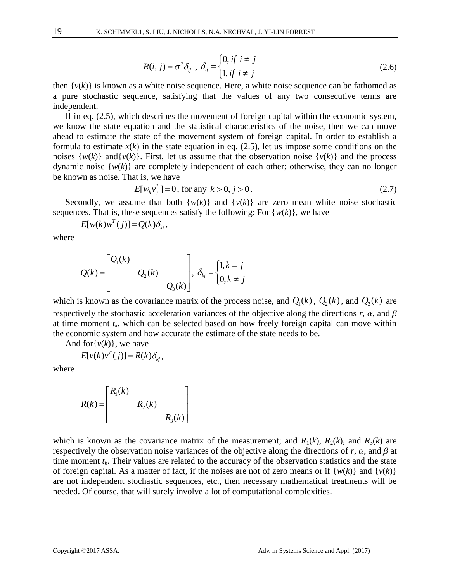$$
R(i, j) = \sigma^2 \delta_{ij} , \delta_{ij} = \begin{cases} 0, & \text{if } i \neq j \\ 1, & \text{if } i \neq j \end{cases}
$$
 (2.6)

then  $\{v(k)\}\$ is known as a white noise sequence. Here, a white noise sequence can be fathomed as a pure stochastic sequence, satisfying that the values of any two consecutive terms are independent.

If in eq. (2.5), which describes the movement of foreign capital within the economic system, we know the state equation and the statistical characteristics of the noise, then we can move ahead to estimate the state of the movement system of foreign capital. In order to establish a formula to estimate  $x(k)$  in the state equation in eq. (2.5), let us impose some conditions on the noises  $\{w(k)\}\$  and  $\{v(k)\}\$ . First, let us assume that the observation noise  $\{v(k)\}\$ and the process dynamic noise  $\{w(k)\}\$ are completely independent of each other; otherwise, they can no longer be known as noise. That is, we have

$$
E[w_k v_j^T] = 0, \text{ for any } k > 0, j > 0. \tag{2.7}
$$

Secondly, we assume that both  $\{w(k)\}\$  and  $\{v(k)\}\$ are zero mean white noise stochastic sequences. That is, these sequences satisfy the following: For  $\{w(k)\}\)$ , we have

 $E[w(k) w^T(j)] = Q(k) \delta_{kj}$ 

where

$$
Q(k) = \begin{bmatrix} Q_1(k) & & \\ & Q_2(k) & \\ & & Q_3(k) \end{bmatrix}, \delta_{kj} = \begin{cases} 1, k = j \\ 0, k \neq j \end{cases}
$$

which is known as the covariance matrix of the process noise, and  $Q_1(k)$ ,  $Q_2(k)$ , and  $Q_3(k)$  are respectively the stochastic acceleration variances of the objective along the directions  $r$ ,  $\alpha$ , and  $\beta$ at time moment  $t_k$ , which can be selected based on how freely foreign capital can move within the economic system and how accurate the estimate of the state needs to be.

And for $\{v(k)\}\)$ , we have

$$
E[v(k)vT(j)] = R(k)\delta_{kj},
$$

where

$$
R(k) = \begin{bmatrix} R_1(k) & & \\ & R_2(k) & \\ & & R_3(k) \end{bmatrix}
$$

which is known as the covariance matrix of the measurement; and  $R_1(k)$ ,  $R_2(k)$ , and  $R_3(k)$  are respectively the observation noise variances of the objective along the directions of  $r, \alpha$ , and  $\beta$  at time moment  $t_k$ . Their values are related to the accuracy of the observation statistics and the state of foreign capital. As a matter of fact, if the noises are not of zero means or if  $\{w(k)\}\$ and  $\{v(k)\}\$ are not independent stochastic sequences, etc., then necessary mathematical treatments will be needed. Of course, that will surely involve a lot of computational complexities.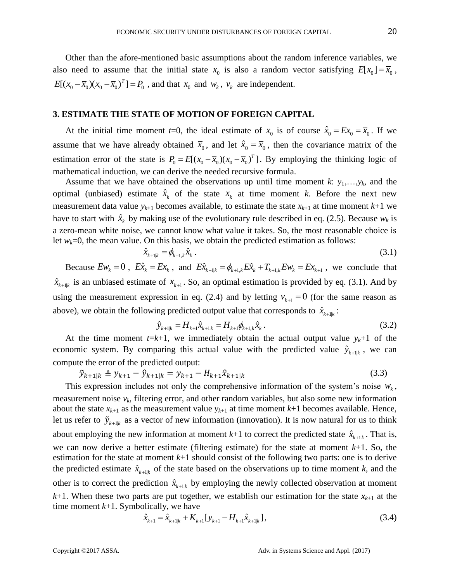Other than the afore-mentioned basic assumptions about the random inference variables, we also need to assume that the initial state  $x_0$  is also a random vector satisfying  $E[x_0] = \overline{x}_0$ ,  $E[(x_0 - \overline{x}_0)(x_0 - \overline{x}_0)^T] = P_0$ , and that  $x_0$  and  $w_k$ ,  $v_k$  are independent.

#### **3. ESTIMATE THE STATE OF MOTION OF FOREIGN CAPITAL**

At the initial time moment *t*=0, the ideal estimate of  $x_0$  is of course  $\hat{x}_0 = Ex_0 = \overline{x}_0$ . If we assume that we have already obtained  $\bar{x}_0$ , and let  $\hat{x}_0 = \bar{x}_0$ , then the covariance matrix of the estimation error of the state is  $P_0 = E[(x_0 - \overline{x}_0)(x_0 - \overline{x}_0)^T]$ . By employing the thinking logic of mathematical induction, we can derive the needed recursive formula.

Assume that we have obtained the observations up until time moment  $k$ :  $y_1, \ldots, y_k$ , and the optimal (unbiased) estimate  $\hat{x}_k$  of the state  $x_k$  at time moment *k*. Before the next new measurement data value  $y_{k+1}$  becomes available, to estimate the state  $x_{k+1}$  at time moment  $k+1$  we have to start with  $\hat{x}_k$  by making use of the evolutionary rule described in eq. (2.5). Because  $w_k$  is a zero-mean white noise, we cannot know what value it takes. So, the most reasonable choice is let  $w_k=0$ , the mean value. On this basis, we obtain the predicted estimation as follows:

$$
\hat{x}_{k+1|k} = \phi_{k+1,k}\hat{x}_k.
$$
\n(3.1)

 $x_{k+1,k} = \varphi_{k+1,k} x_k$ .<br>Because  $Ew_k = 0$ ,  $E\hat{x}_k = Ex_k$ , and  $E\hat{x}_{k+1,k} = \varphi_{k+1,k} E\hat{x}_k + T_{k+1,k} Ew_k = Ex_{k+1}$ , we conclude that  $\hat{x}_{k+1|k}$  is an unbiased estimate of  $x_{k+1}$ . So, an optimal estimation is provided by eq. (3.1). And by using the measurement expression in eq. (2.4) and by letting  $v_{k+1} = 0$  (for the same reason as above), we obtain the following predicted output value that corresponds to  $\hat{x}_{k+1|k}$ :

$$
\hat{y}_{k+1|k} = H_{k+1}\hat{x}_{k+1|k} = H_{k+1}\phi_{k+1,k}\hat{x}_{k}.
$$
\n(3.2)

At the time moment  $t=k+1$ , we immediately obtain the actual output value  $y_k+1$  of the economic system. By comparing this actual value with the predicted value  $\hat{y}_{k+1|k}$ , we can compute the error of the predicted output:

$$
\tilde{y}_{k+1|k} \triangleq y_{k+1} - \hat{y}_{k+1|k} = y_{k+1} - H_{k+1}\hat{x}_{k+1|k}
$$
\n(3.3)

This expression includes not only the comprehensive information of the system's noise  $w_k$ , measurement noise  $v_k$ , filtering error, and other random variables, but also some new information about the state  $x_{k+1}$  as the measurement value  $y_{k+1}$  at time moment  $k+1$  becomes available. Hence, let us refer to  $\tilde{y}_{k+1|k}$  as a vector of new information (innovation). It is now natural for us to think about employing the new information at moment  $k+1$  to correct the predicted state  $\hat{x}_{k+1|k}$ . That is, we can now derive a better estimate (filtering estimate) for the state at moment *k*+1. So, the estimation for the state at moment  $k+1$  should consist of the following two parts: one is to derive the predicted estimate  $\hat{x}_{k+1|k}$  of the state based on the observations up to time moment k, and the other is to correct the prediction  $\hat{x}_{k+1|k}$  by employing the newly collected observation at moment  $k+1$ . When these two parts are put together, we establish our estimation for the state  $x_{k+1}$  at the time moment *k*+1. Symbolically, we have<br>  $\hat{x}_{k+1} = \hat{x}_{k+1|k} + K_{k+1}[y_{k+1} - H_{k+1}\hat{x}_{k+1|k}]$ 

blically, we have  
\n
$$
\hat{x}_{k+1} = \hat{x}_{k+1,k} + K_{k+1}[y_{k+1} - H_{k+1}\hat{x}_{k+1,k}],
$$
\n(3.4)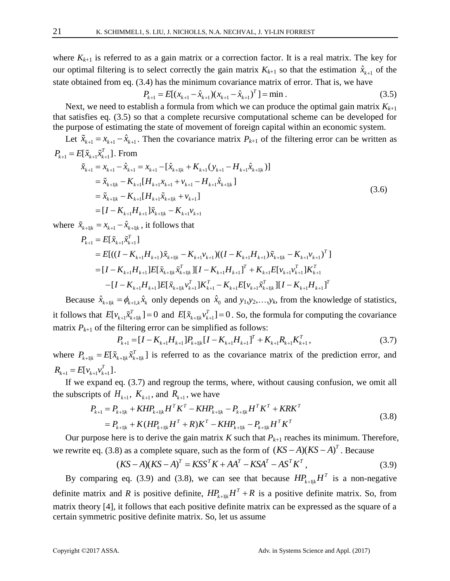where  $K_{k+1}$  is referred to as a gain matrix or a correction factor. It is a real matrix. The key for our optimal filtering is to select correctly the gain matrix  $K_{k+1}$  so that the estimation  $\hat{x}_{k+1}$  of the state obtained from eq. (3.4) has the minimum covariance matrix of error. That is, we have  $P_{k+1} = E[(x_{k+1} - \hat{x}_{k+1})(x_{k+1} - \hat{x}_{k+1})^T] = \min$ . (3.5)

$$
P_{k+1} = E[(x_{k+1} - \hat{x}_{k+1})(x_{k+1} - \hat{x}_{k+1})^T] = \min.
$$
\n(3.5)

Next, we need to establish a formula from which we can produce the optimal gain matrix  $K_{k+1}$ that satisfies eq. (3.5) so that a complete recursive computational scheme can be developed for the purpose of estimating the state of movement of foreign capital within an economic system.

Let  $\tilde{x}_{k+1} = x_{k+1} - \hat{x}_{k+1}$ . Then the covariance matrix  $P_{k+1}$  of the filtering error can be written as

$$
P_{k+1} = E[\tilde{x}_{k+1}\tilde{x}_{k+1}^T]. \text{ From}
$$
\n
$$
\tilde{x}_{k+1} = x_{k+1} - \hat{x}_{k+1} = x_{k+1} - [\hat{x}_{k+1|k} + K_{k+1}(y_{k+1} - H_{k+1}\hat{x}_{k+1|k})]
$$
\n
$$
= \tilde{x}_{k+1|k} - K_{k+1}[H_{k+1}x_{k+1} + v_{k+1} - H_{k+1}\hat{x}_{k+1|k}]
$$
\n
$$
= \tilde{x}_{k+1|k} - K_{k+1}[H_{k+1}\tilde{x}_{k+1|k} + v_{k+1}]
$$
\n
$$
= [I - K_{k+1}H_{k+1}]\tilde{x}_{k+1|k} - K_{k+1}v_{k+1}
$$
\n(3.6)

$$
= [I - K_{k+1}H_{k+1}]\tilde{x}_{k+1|k} - K_{k+1}v_{k+1}
$$
  
\nwhere  $\tilde{x}_{k+1|k} = x_{k+1} - \hat{x}_{k+1|k}$ , it follows that  
\n
$$
P_{k+1} = E[\tilde{x}_{k+1}\tilde{x}_{k+1}^T]
$$
\n
$$
= E[((I - K_{k+1}H_{k+1})\tilde{x}_{k+1|k} - K_{k+1}v_{k+1})((I - K_{k+1}H_{k+1})\tilde{x}_{k+1|k} - K_{k+1}v_{k+1})^T]
$$
\n
$$
= [I - K_{k+1}H_{k+1}]E[\tilde{x}_{k+1|k}\tilde{x}_{k+1|k}^T][I - K_{k+1}H_{k+1}]^T + K_{k+1}E[v_{k+1}v_{k+1}^T]K_{k+1}^T
$$
\n
$$
-[I - K_{k+1}H_{k+1}]E[\tilde{x}_{k+1|k}v_{k+1}^T]K_{k+1}^T - K_{k+1}E[v_{k+1}\tilde{x}_{k+1|k}^T][I - K_{k+1}H_{k+1}]^T
$$

Because  $\hat{x}_{k+1,k} = \phi_{k+1,k} \hat{x}_k$  only depends on  $\hat{x}_0$  and  $y_1, y_2, \dots, y_k$ , from the knowledge of statistics, it follows that  $E[v_{k+1}\tilde{x}_{k+1|k}^T] = 0$  and  $E[\tilde{x}_{k+1|k}v_{k+1}^T] = 0$ . So, the formula for computing the covariance<br>matrix  $P_{k+1}$  of the filtering error can be simplified as follows:<br> $P_{k+1} = [I - K_{k+1}H_{k+1}]P_{k+1|k}[I$ matrix  $P_{k+1}$  of the filtering error can be simplified as follows:

$$
P_{k+1} = [I - K_{k+1}H_{k+1}]P_{k+1|k}[I - K_{k+1}H_{k+1}]^{T} + K_{k+1}R_{k+1}K_{k+1}^{T},
$$
\n(3.7)

where  $P_{k+1|k} = E[\tilde{x}_{k+1|k}\tilde{x}_{k+1|k}^T]$  is referred to as the covariance matrix of the prediction error, and  $R_{k+1} = E[v_{k+1} v_{k+1}^T].$ 

If we expand eq. (3.7) and regroup the terms, where, without causing confusion, we omit all the subscripts of  $H_{k+1}$ ,  $K_{k+1}$ , and  $R_{k+1}$ , we have<br> $P_{k+1} = P_{k+1} + KHP_{k+1}H^T K^T - KHP_{k+1} - P_{k+1}H^T K^T + KRR^T$ *P P*<sub>*k*+1</sub>, *K*<sub>*k*+1</sub>, and *R*<sub>*k*+1</sub>, we have<br>*P*<sub>*k*+1</sub> = *P*<sub>*k*+1|*k*</sub> + *KHP*<sub>*k*+1|*k*</sub> *H*<sup>*T*</sup> *K<sup>T</sup>* – *KHP*<sub>*k*+1|*k*</sub> – *P*<sub>*k*+1|*k*</sub> *H*<sup>*T*</sup> *K<sup>T</sup>* + *KRK<sup>T</sup>* 

$$
P_{k+1} = P_{k+1|k} + KHP_{k+1|k}H^{T}K^{T} - KHP_{k+1|k} - P_{k+1|k}H^{T}K^{T} + RKK^{T}
$$
  
= 
$$
P_{k+1|k} + K(HP_{k+1|k}H^{T} + R)K^{T} - KHP_{k+1|k} - P_{k+1|k}H^{T}K^{T}
$$
 (3.8)

Our purpose here is to derive the gain matrix  $K$  such that  $P_{k+1}$  reaches its minimum. Therefore, we rewrite eq. (3.8) as a complete square, such as the form of  $(KS - A)(KS - A)^T$ . Because<br>  $(KS - A)(KS - A)^T = KSS^TK + AA^T - KSA^T - AS^TK^T$ , (3.9)

$$
(KS - A)(KS - A)T = KSSTK + AAT - KSAT - ASTKT,
$$
\n(3.9)

By comparing eq. (3.9) and (3.8), we can see that because  $HP_{k+1|k}H^T$  is a non-negative definite matrix and *R* is positive definite,  $HP_{k+1|k}H^{T} + R$  is a positive definite matrix. So, from matrix theory [4], it follows that each positive definite matrix can be expressed as the square of a certain symmetric positive definite matrix. So, let us assume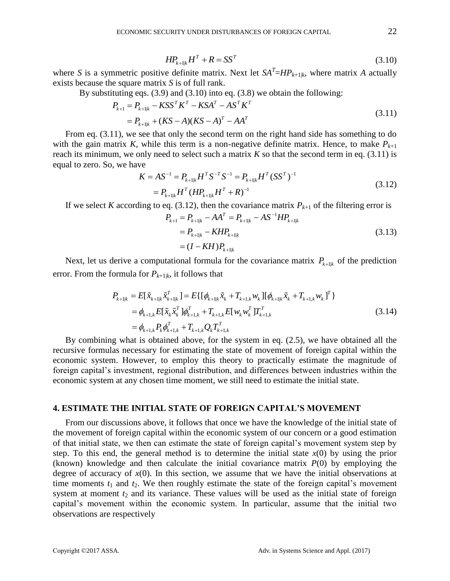$$
HP_{k+1|k}H^T + R = SS^T \tag{3.10}
$$

where *S* is a symmetric positive definite matrix. Next let  $SA<sup>T</sup>=HP<sub>k+1|k</sub>$ , where matrix *A* actually exists because the square matrix *S* is of full rank.

By substituting eqs. (3.9) and (3.10) into eq. (3.8) we obtain the following:  
\n
$$
P_{k+1} = P_{k+1|k} - KSS^{T}K^{T} - KSA^{T} - AS^{T}K^{T}
$$
\n
$$
= P_{k+1|k} + (KS - A)(KS - A)^{T} - AA^{T}
$$
\n(3.11)

From eq. (3.11), we see that only the second term on the right hand side has something to do with the gain matrix *K*, while this term is a non-negative definite matrix. Hence, to make  $P_{k+1}$ reach its minimum, we only need to select such a matrix  $K$  so that the second term in eq. (3.11) is equal to zero. So, we have

$$
K = AS^{-1} = P_{k+1|k} H^T S^{-T} S^{-1} = P_{k+1|k} H^T (SS^T)^{-1}
$$
  
=  $P_{k+1|k} H^T (HP_{k+1|k} H^T + R)^{-1}$  (3.12)

If we select *K* according to eq. (3.12), then the covariance matrix  $P_{k+1}$  of the filtering error is *x*<sub>k+1</sub> =  $P_{k+1|k} - AA^T = P_{k+1|k} - AS^{-1}HP_{k+1|k}$ 

(3.12), then the covariance matrix 
$$
P_{k+1}
$$
 of the filtering error is  
\n
$$
P_{k+1|k} - AA^T = P_{k+1|k} - AS^{-1}HP_{k+1|k}
$$
\n
$$
= P_{k+1|k} - KHP_{k+1|k}
$$
\n
$$
= (I - KH)P_{k+1|k}
$$
\n(3.13)

Next, let us derive a computational formula for the covariance matrix  $P_{k+1|k}$  of the prediction

error. From the formula for 
$$
P_{k+1|k}
$$
, it follows that  
\n
$$
P_{k+1|k} = E[\tilde{x}_{k+1|k}\tilde{x}_{k+1|k}^T] = E\{[\phi_{k+1|k}\tilde{x}_{k} + T_{k+1,k}w_{k}][\phi_{k+1|k}\tilde{x}_{k} + T_{k+1,k}w_{k}]^T\}
$$
\n
$$
= \phi_{k+1,k} E[\tilde{x}_{k}\tilde{x}_{k}^T] \phi_{k+1,k}^T + T_{k+1,k} E[w_{k}w_{k}^T]T_{k+1,k}^T
$$
\n
$$
= \phi_{k+1,k} P_{k}\phi_{k+1,k}^T + T_{k+1,k} Q_{k} T_{k+1,k}^T
$$
\n(3.14)

By combining what is obtained above, for the system in eq. (2.5), we have obtained all the recursive formulas necessary for estimating the state of movement of foreign capital within the economic system. However, to employ this theory to practically estimate the magnitude of foreign capital's investment, regional distribution, and differences between industries within the economic system at any chosen time moment, we still need to estimate the initial state.

#### **4. ESTIMATE THE INITIAL STATE OF FOREIGN CAPITAL'S MOVEMENT**

From our discussions above, it follows that once we have the knowledge of the initial state of the movement of foreign capital within the economic system of our concern or a good estimation of that initial state, we then can estimate the state of foreign capital's movement system step by step. To this end, the general method is to determine the initial state  $x(0)$  by using the prior (known) knowledge and then calculate the initial covariance matrix *P*(0) by employing the degree of accuracy of  $x(0)$ . In this section, we assume that we have the initial observations at time moments  $t_1$  and  $t_2$ . We then roughly estimate the state of the foreign capital's movement system at moment  $t_2$  and its variance. These values will be used as the initial state of foreign capital's movement within the economic system. In particular, assume that the initial two observations are respectively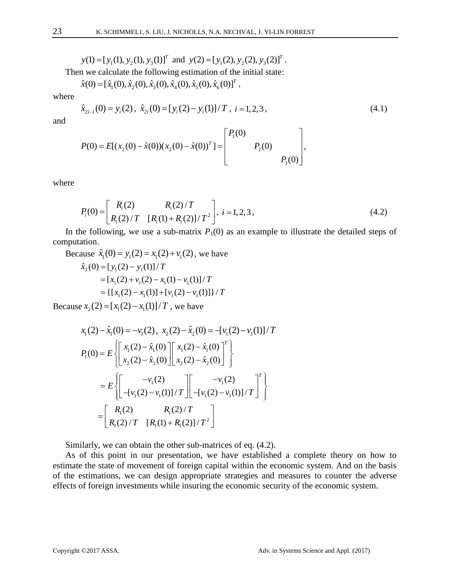$y(1) = [y_1(1), y_2(1), y_3(1)]^T$  and  $y(2) = [y_1(2), y_2(2), y_3(2)]^T$ .

Then we calculate the following estimation of the initial state:

i we calculate the following estimation of the  $\hat{x}(0) = [\hat{x}_1(0), \hat{x}_2(0), \hat{x}_3(0), \hat{x}_4(0), \hat{x}_5(0), \hat{x}_6(0)]$ *T x* we calculate the following estimation of the in  $\hat{x}(0) = [\hat{x}_1(0), \hat{x}_2(0), \hat{x}_3(0), \hat{x}_4(0), \hat{x}_5(0), \hat{x}_6(0)]^T$ ,

where

$$
\hat{x}_{2i-1}(0) = y_i(2), \ \hat{x}_{2i}(0) = [y_i(2) - y_i(1)]/T, \ i = 1, 2, 3,
$$
\n(4.1)

and

$$
P(0) = E[(x_2(0) - \hat{x}(0))(x_2(0) - \hat{x}(0))^T] = \begin{bmatrix} P_1(0) & & \\ & P_2(0) & \\ & & P_3(0) \end{bmatrix},
$$

where

$$
P_i(0) = \begin{bmatrix} R_i(2) & R_i(2)/T \\ R_i(2)/T & [R_i(1) + R_i(2)]/T^2 \end{bmatrix}, i = 1, 2, 3,
$$
\n(4.2)

In the following, we use a sub-matrix  $P_1(0)$  as an example to illustrate the detailed steps of computation.

Because 
$$
\hat{x}_1(0) = y_1(2) = x_1(2) + v_1(2)
$$
, we have  
\n $\hat{x}_2(0) = [y_1(2) - y_1(1)]/T$   
\n $= [x_1(2) + v_1(2) - x_1(1) - v_1(1)]/T$   
\n $= \{ [x_1(2) - x_1(1)] + [v_1(2) - v_1(1)] \}/T \}$ 

Because  $x_2(2) = [x_1(2) - x_1(1)]/T$ , we have

$$
x_1(2) - \hat{x}_1(0) = -v_1(2), x_2(2) - \hat{x}_2(0) = -[v_1(2) - v_1(1)]/T
$$
  
\n
$$
P_1(0) = E\left\{ \begin{bmatrix} x_1(2) - \hat{x}_1(0) \\ x_2(2) - \hat{x}_2(0) \end{bmatrix} \begin{bmatrix} x_1(2) - \hat{x}_1(0) \\ x_2(2) - \hat{x}_2(0) \end{bmatrix}^T \right\}
$$
  
\n
$$
= E\left\{ \begin{bmatrix} -v_1(2) \\ -[v_1(2) - v_1(1)]/T \end{bmatrix} \begin{bmatrix} -v_1(2) \\ -[v_1(2) - v_1(1)]/T \end{bmatrix}^T \right\}
$$
  
\n
$$
= \begin{bmatrix} R_1(2) & R_1(2)/T \\ R_1(2)/T & [R_1(1) + R_1(2)]/T^2 \end{bmatrix}
$$

Similarly, we can obtain the other sub-matrices of eq. (4.2).

As of this point in our presentation, we have established a complete theory on how to estimate the state of movement of foreign capital within the economic system. And on the basis of the estimations, we can design appropriate strategies and measures to counter the adverse effects of foreign investments while insuring the economic security of the economic system.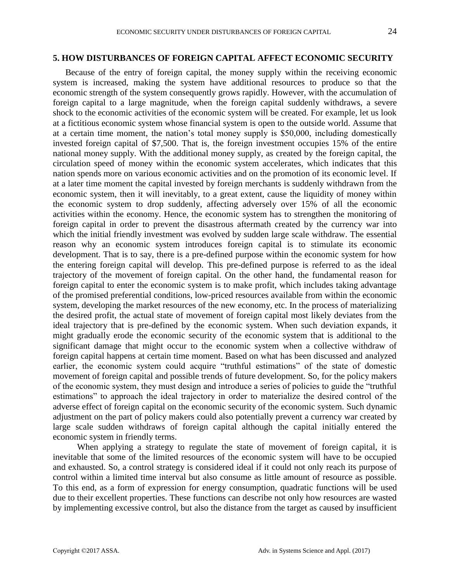### **5. HOW DISTURBANCES OF FOREIGN CAPITAL AFFECT ECONOMIC SECURITY**

Because of the entry of foreign capital, the money supply within the receiving economic system is increased, making the system have additional resources to produce so that the economic strength of the system consequently grows rapidly. However, with the accumulation of foreign capital to a large magnitude, when the foreign capital suddenly withdraws, a severe shock to the economic activities of the economic system will be created. For example, let us look at a fictitious economic system whose financial system is open to the outside world. Assume that at a certain time moment, the nation's total money supply is \$50,000, including domestically invested foreign capital of \$7,500. That is, the foreign investment occupies 15% of the entire national money supply. With the additional money supply, as created by the foreign capital, the circulation speed of money within the economic system accelerates, which indicates that this nation spends more on various economic activities and on the promotion of its economic level. If at a later time moment the capital invested by foreign merchants is suddenly withdrawn from the economic system, then it will inevitably, to a great extent, cause the liquidity of money within the economic system to drop suddenly, affecting adversely over 15% of all the economic activities within the economy. Hence, the economic system has to strengthen the monitoring of foreign capital in order to prevent the disastrous aftermath created by the currency war into which the initial friendly investment was evolved by sudden large scale withdraw. The essential reason why an economic system introduces foreign capital is to stimulate its economic development. That is to say, there is a pre-defined purpose within the economic system for how the entering foreign capital will develop. This pre-defined purpose is referred to as the ideal trajectory of the movement of foreign capital. On the other hand, the fundamental reason for foreign capital to enter the economic system is to make profit, which includes taking advantage of the promised preferential conditions, low-priced resources available from within the economic system, developing the market resources of the new economy, etc. In the process of materializing the desired profit, the actual state of movement of foreign capital most likely deviates from the ideal trajectory that is pre-defined by the economic system. When such deviation expands, it might gradually erode the economic security of the economic system that is additional to the significant damage that might occur to the economic system when a collective withdraw of foreign capital happens at certain time moment. Based on what has been discussed and analyzed earlier, the economic system could acquire "truthful estimations" of the state of domestic movement of foreign capital and possible trends of future development. So, for the policy makers of the economic system, they must design and introduce a series of policies to guide the "truthful estimations" to approach the ideal trajectory in order to materialize the desired control of the adverse effect of foreign capital on the economic security of the economic system. Such dynamic adjustment on the part of policy makers could also potentially prevent a currency war created by large scale sudden withdraws of foreign capital although the capital initially entered the economic system in friendly terms.

When applying a strategy to regulate the state of movement of foreign capital, it is inevitable that some of the limited resources of the economic system will have to be occupied and exhausted. So, a control strategy is considered ideal if it could not only reach its purpose of control within a limited time interval but also consume as little amount of resource as possible. To this end, as a form of expression for energy consumption, quadratic functions will be used due to their excellent properties. These functions can describe not only how resources are wasted by implementing excessive control, but also the distance from the target as caused by insufficient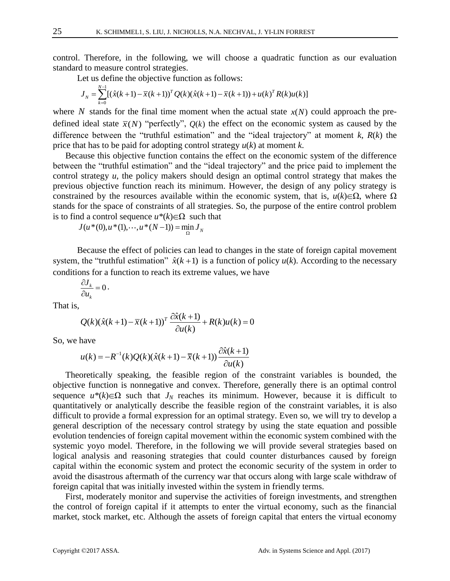control. Therefore, in the following, we will choose a quadratic function as our evaluation standard to measure control strategies.

Let us define the objective function as follows:

d to measure control strategies.  
\nLet us define the objective function as follows:  
\n
$$
J_N = \sum_{k=0}^{N-1} [(\hat{x}(k+1) - \overline{x}(k+1))^T Q(k) (\hat{x}(k+1) - \overline{x}(k+1)) + u(k)^T R(k)u(k)]
$$

where  $N$  stands for the final time moment when the actual state  $x(N)$  could approach the predefined ideal state  $\bar{x}(N)$  "perfectly",  $Q(k)$  the effect on the economic system as caused by the difference between the "truthful estimation" and the "ideal trajectory" at moment *k*, *R*(*k*) the price that has to be paid for adopting control strategy *u*(*k*) at moment *k*.

Because this objective function contains the effect on the economic system of the difference between the "truthful estimation" and the "ideal trajectory" and the price paid to implement the control strategy *u*, the policy makers should design an optimal control strategy that makes the previous objective function reach its minimum. However, the design of any policy strategy is constrained by the resources available within the economic system, that is,  $u(k) \in \Omega$ , where  $\Omega$ stands for the space of constraints of all strategies. So, the purpose of the entire control problem is to find a control sequence  $u^*(k) \in \Omega$  such that  $J(u^*(0), u^*(1), \dots, u^*(N-1)) = \min_{\Omega} J_N$ 

$$
J(u^*(0),u^*(1),\cdots,u^*(N-1)) = \min_{\Omega} J_{N}
$$

Because the effect of policies can lead to changes in the state of foreign capital movement system, the "truthful estimation"  $\hat{x}(k+1)$  is a function of policy  $u(k)$ . According to the necessary conditions for a function to reach its extreme values, we have

$$
\frac{\partial J_k}{\partial u_k} = 0
$$

.

That is,

$$
U_{k}
$$
  
Q(k)( $\hat{x}$ (k+1) -  $\overline{x}$ (k+1))<sup>T</sup>  $\frac{\partial \hat{x}(k+1)}{\partial u(k)}$  + R(k)u(k) = 0

So, we have

have  
\n
$$
u(k) = -R^{-1}(k)Q(k)(\hat{x}(k+1) - \overline{x}(k+1)) \frac{\partial \hat{x}(k+1)}{\partial u(k)}
$$

Theoretically speaking, the feasible region of the constraint variables is bounded, the objective function is nonnegative and convex. Therefore, generally there is an optimal control sequence  $u^*(k) \in \Omega$  such that  $J_N$  reaches its minimum. However, because it is difficult to quantitatively or analytically describe the feasible region of the constraint variables, it is also difficult to provide a formal expression for an optimal strategy. Even so, we will try to develop a general description of the necessary control strategy by using the state equation and possible evolution tendencies of foreign capital movement within the economic system combined with the systemic yoyo model. Therefore, in the following we will provide several strategies based on logical analysis and reasoning strategies that could counter disturbances caused by foreign capital within the economic system and protect the economic security of the system in order to avoid the disastrous aftermath of the currency war that occurs along with large scale withdraw of foreign capital that was initially invested within the system in friendly terms.

First, moderately monitor and supervise the activities of foreign investments, and strengthen the control of foreign capital if it attempts to enter the virtual economy, such as the financial market, stock market, etc. Although the assets of foreign capital that enters the virtual economy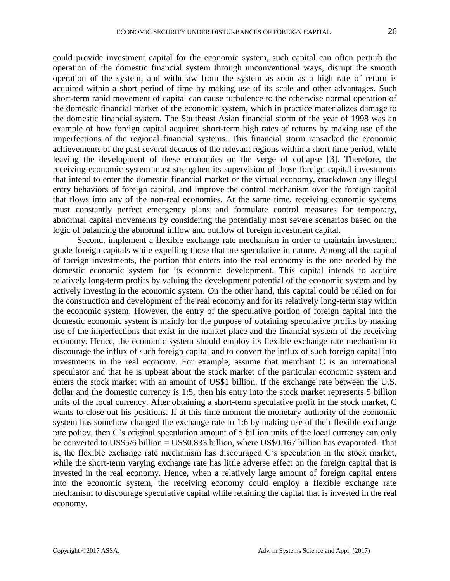could provide investment capital for the economic system, such capital can often perturb the operation of the domestic financial system through unconventional ways, disrupt the smooth operation of the system, and withdraw from the system as soon as a high rate of return is acquired within a short period of time by making use of its scale and other advantages. Such short-term rapid movement of capital can cause turbulence to the otherwise normal operation of the domestic financial market of the economic system, which in practice materializes damage to the domestic financial system. The Southeast Asian financial storm of the year of 1998 was an example of how foreign capital acquired short-term high rates of returns by making use of the imperfections of the regional financial systems. This financial storm ransacked the economic achievements of the past several decades of the relevant regions within a short time period, while leaving the development of these economies on the verge of collapse [3]. Therefore, the receiving economic system must strengthen its supervision of those foreign capital investments that intend to enter the domestic financial market or the virtual economy, crackdown any illegal entry behaviors of foreign capital, and improve the control mechanism over the foreign capital that flows into any of the non-real economies. At the same time, receiving economic systems must constantly perfect emergency plans and formulate control measures for temporary, abnormal capital movements by considering the potentially most severe scenarios based on the logic of balancing the abnormal inflow and outflow of foreign investment capital.

Second, implement a flexible exchange rate mechanism in order to maintain investment grade foreign capitals while expelling those that are speculative in nature. Among all the capital of foreign investments, the portion that enters into the real economy is the one needed by the domestic economic system for its economic development. This capital intends to acquire relatively long-term profits by valuing the development potential of the economic system and by actively investing in the economic system. On the other hand, this capital could be relied on for the construction and development of the real economy and for its relatively long-term stay within the economic system. However, the entry of the speculative portion of foreign capital into the domestic economic system is mainly for the purpose of obtaining speculative profits by making use of the imperfections that exist in the market place and the financial system of the receiving economy. Hence, the economic system should employ its flexible exchange rate mechanism to discourage the influx of such foreign capital and to convert the influx of such foreign capital into investments in the real economy. For example, assume that merchant C is an international speculator and that he is upbeat about the stock market of the particular economic system and enters the stock market with an amount of US\$1 billion. If the exchange rate between the U.S. dollar and the domestic currency is 1:5, then his entry into the stock market represents 5 billion units of the local currency. After obtaining a short-term speculative profit in the stock market, C wants to close out his positions. If at this time moment the monetary authority of the economic system has somehow changed the exchange rate to 1:6 by making use of their flexible exchange rate policy, then C's original speculation amount of 5 billion units of the local currency can only be converted to US\$5/6 billion = US\$0.833 billion, where US\$0.167 billion has evaporated. That is, the flexible exchange rate mechanism has discouraged C's speculation in the stock market, while the short-term varying exchange rate has little adverse effect on the foreign capital that is invested in the real economy. Hence, when a relatively large amount of foreign capital enters into the economic system, the receiving economy could employ a flexible exchange rate mechanism to discourage speculative capital while retaining the capital that is invested in the real economy.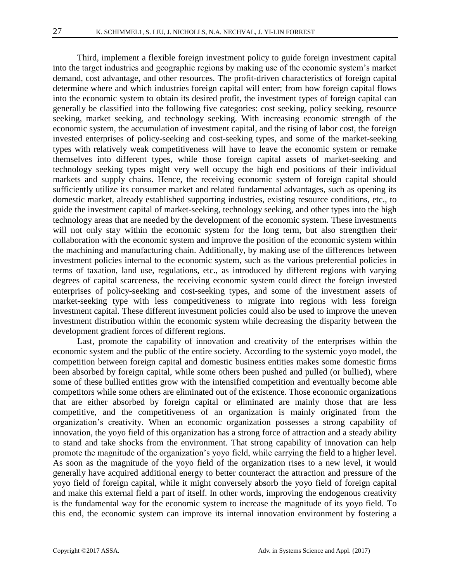Third, implement a flexible foreign investment policy to guide foreign investment capital into the target industries and geographic regions by making use of the economic system's market demand, cost advantage, and other resources. The profit-driven characteristics of foreign capital determine where and which industries foreign capital will enter; from how foreign capital flows into the economic system to obtain its desired profit, the investment types of foreign capital can generally be classified into the following five categories: cost seeking, policy seeking, resource seeking, market seeking, and technology seeking. With increasing economic strength of the economic system, the accumulation of investment capital, and the rising of labor cost, the foreign invested enterprises of policy-seeking and cost-seeking types, and some of the market-seeking types with relatively weak competitiveness will have to leave the economic system or remake themselves into different types, while those foreign capital assets of market-seeking and technology seeking types might very well occupy the high end positions of their individual markets and supply chains. Hence, the receiving economic system of foreign capital should sufficiently utilize its consumer market and related fundamental advantages, such as opening its domestic market, already established supporting industries, existing resource conditions, etc., to guide the investment capital of market-seeking, technology seeking, and other types into the high technology areas that are needed by the development of the economic system. These investments will not only stay within the economic system for the long term, but also strengthen their collaboration with the economic system and improve the position of the economic system within the machining and manufacturing chain. Additionally, by making use of the differences between investment policies internal to the economic system, such as the various preferential policies in terms of taxation, land use, regulations, etc., as introduced by different regions with varying degrees of capital scarceness, the receiving economic system could direct the foreign invested enterprises of policy-seeking and cost-seeking types, and some of the investment assets of market-seeking type with less competitiveness to migrate into regions with less foreign investment capital. These different investment policies could also be used to improve the uneven investment distribution within the economic system while decreasing the disparity between the development gradient forces of different regions.

Last, promote the capability of innovation and creativity of the enterprises within the economic system and the public of the entire society. According to the systemic yoyo model, the competition between foreign capital and domestic business entities makes some domestic firms been absorbed by foreign capital, while some others been pushed and pulled (or bullied), where some of these bullied entities grow with the intensified competition and eventually become able competitors while some others are eliminated out of the existence. Those economic organizations that are either absorbed by foreign capital or eliminated are mainly those that are less competitive, and the competitiveness of an organization is mainly originated from the organization's creativity. When an economic organization possesses a strong capability of innovation, the yoyo field of this organization has a strong force of attraction and a steady ability to stand and take shocks from the environment. That strong capability of innovation can help promote the magnitude of the organization's yoyo field, while carrying the field to a higher level. As soon as the magnitude of the yoyo field of the organization rises to a new level, it would generally have acquired additional energy to better counteract the attraction and pressure of the yoyo field of foreign capital, while it might conversely absorb the yoyo field of foreign capital and make this external field a part of itself. In other words, improving the endogenous creativity is the fundamental way for the economic system to increase the magnitude of its yoyo field. To this end, the economic system can improve its internal innovation environment by fostering a